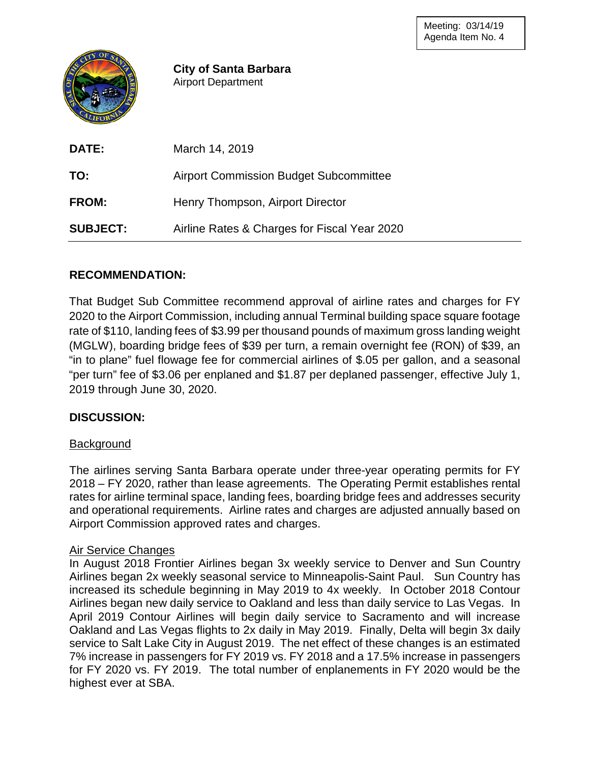

**City of Santa Barbara** Airport Department

| <b>DATE:</b>    | March 14, 2019                                |
|-----------------|-----------------------------------------------|
| TO:             | <b>Airport Commission Budget Subcommittee</b> |
| <b>FROM:</b>    | Henry Thompson, Airport Director              |
| <b>SUBJECT:</b> | Airline Rates & Charges for Fiscal Year 2020  |

# **RECOMMENDATION:**

That Budget Sub Committee recommend approval of airline rates and charges for FY 2020 to the Airport Commission, including annual Terminal building space square footage rate of \$110, landing fees of \$3.99 per thousand pounds of maximum gross landing weight (MGLW), boarding bridge fees of \$39 per turn, a remain overnight fee (RON) of \$39, an "in to plane" fuel flowage fee for commercial airlines of \$.05 per gallon, and a seasonal "per turn" fee of \$3.06 per enplaned and \$1.87 per deplaned passenger, effective July 1, 2019 through June 30, 2020.

# **DISCUSSION:**

## **Background**

The airlines serving Santa Barbara operate under three-year operating permits for FY 2018 – FY 2020, rather than lease agreements. The Operating Permit establishes rental rates for airline terminal space, landing fees, boarding bridge fees and addresses security and operational requirements. Airline rates and charges are adjusted annually based on Airport Commission approved rates and charges.

## Air Service Changes

In August 2018 Frontier Airlines began 3x weekly service to Denver and Sun Country Airlines began 2x weekly seasonal service to Minneapolis-Saint Paul. Sun Country has increased its schedule beginning in May 2019 to 4x weekly. In October 2018 Contour Airlines began new daily service to Oakland and less than daily service to Las Vegas. In April 2019 Contour Airlines will begin daily service to Sacramento and will increase Oakland and Las Vegas flights to 2x daily in May 2019. Finally, Delta will begin 3x daily service to Salt Lake City in August 2019. The net effect of these changes is an estimated 7% increase in passengers for FY 2019 vs. FY 2018 and a 17.5% increase in passengers for FY 2020 vs. FY 2019. The total number of enplanements in FY 2020 would be the highest ever at SBA.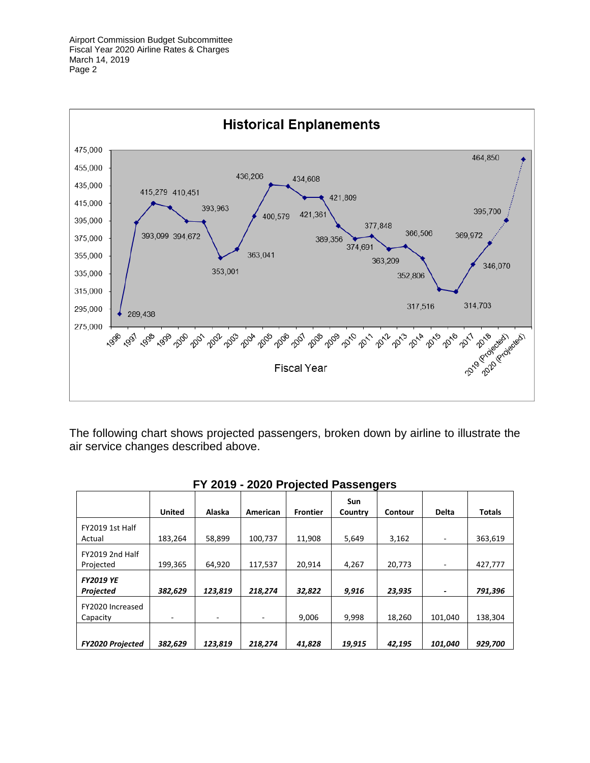

The following chart shows projected passengers, broken down by airline to illustrate the air service changes described above.

|                                      |               |         | T T ZUTJ - ZUZU I TUJECIEU I ASSENYETS |                 |                |         |              |               |
|--------------------------------------|---------------|---------|----------------------------------------|-----------------|----------------|---------|--------------|---------------|
|                                      | <b>United</b> | Alaska  | American                               | <b>Frontier</b> | Sun<br>Country | Contour | <b>Delta</b> | <b>Totals</b> |
| FY2019 1st Half<br>Actual            | 183,264       | 58,899  | 100,737                                | 11,908          | 5,649          | 3,162   |              | 363,619       |
| FY2019 2nd Half<br>Projected         | 199,365       | 64,920  | 117,537                                | 20,914          | 4,267          | 20,773  |              | 427,777       |
| <b>FY2019 YE</b><br><b>Projected</b> | 382,629       | 123,819 | 218,274                                | 32,822          | 9,916          | 23,935  |              | 791,396       |
| FY2020 Increased<br>Capacity         | -             | ۰       | ٠                                      | 9,006           | 9,998          | 18,260  | 101,040      | 138,304       |
| <b>FY2020 Projected</b>              | 382,629       | 123,819 | 218,274                                | 41,828          | 19,915         | 42,195  | 101,040      | 929,700       |

|  |  |  |  |  | FY 2019 - 2020 Projected Passengers |  |
|--|--|--|--|--|-------------------------------------|--|
|--|--|--|--|--|-------------------------------------|--|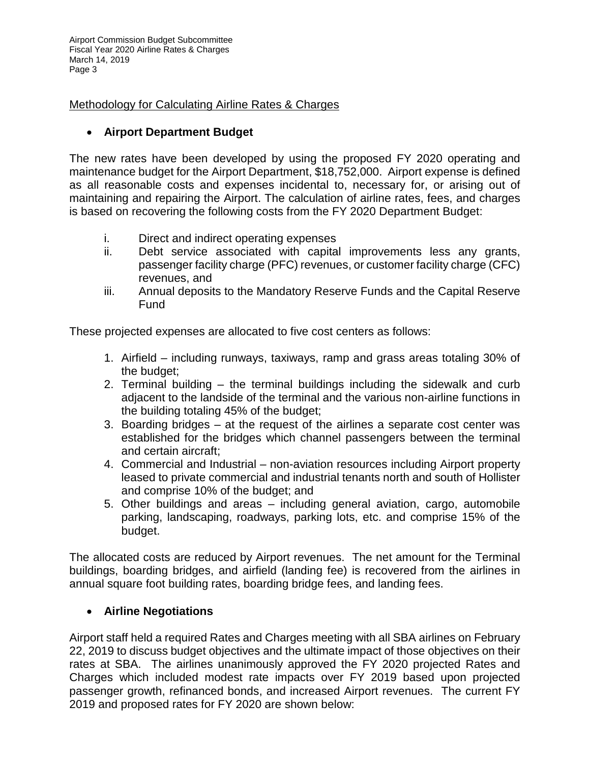Airport Commission Budget Subcommittee Fiscal Year 2020 Airline Rates & Charges March 14, 2019 Page 3

Methodology for Calculating Airline Rates & Charges

# • **Airport Department Budget**

The new rates have been developed by using the proposed FY 2020 operating and maintenance budget for the Airport Department, \$18,752,000. Airport expense is defined as all reasonable costs and expenses incidental to, necessary for, or arising out of maintaining and repairing the Airport. The calculation of airline rates, fees, and charges is based on recovering the following costs from the FY 2020 Department Budget:

- i. Direct and indirect operating expenses
- ii. Debt service associated with capital improvements less any grants, passenger facility charge (PFC) revenues, or customer facility charge (CFC) revenues, and
- iii. Annual deposits to the Mandatory Reserve Funds and the Capital Reserve Fund

These projected expenses are allocated to five cost centers as follows:

- 1. Airfield including runways, taxiways, ramp and grass areas totaling 30% of the budget;
- 2. Terminal building the terminal buildings including the sidewalk and curb adjacent to the landside of the terminal and the various non-airline functions in the building totaling 45% of the budget;
- 3. Boarding bridges at the request of the airlines a separate cost center was established for the bridges which channel passengers between the terminal and certain aircraft;
- 4. Commercial and Industrial non-aviation resources including Airport property leased to private commercial and industrial tenants north and south of Hollister and comprise 10% of the budget; and
- 5. Other buildings and areas including general aviation, cargo, automobile parking, landscaping, roadways, parking lots, etc. and comprise 15% of the budget.

The allocated costs are reduced by Airport revenues. The net amount for the Terminal buildings, boarding bridges, and airfield (landing fee) is recovered from the airlines in annual square foot building rates, boarding bridge fees, and landing fees.

# • **Airline Negotiations**

Airport staff held a required Rates and Charges meeting with all SBA airlines on February 22, 2019 to discuss budget objectives and the ultimate impact of those objectives on their rates at SBA. The airlines unanimously approved the FY 2020 projected Rates and Charges which included modest rate impacts over FY 2019 based upon projected passenger growth, refinanced bonds, and increased Airport revenues. The current FY 2019 and proposed rates for FY 2020 are shown below: